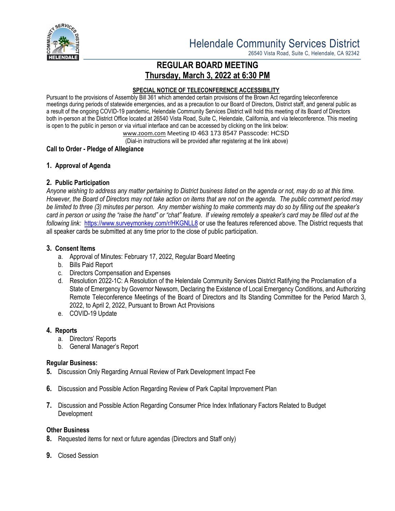

26540 Vista Road, Suite C, Helendale, CA 92342

# **REGULAR BOARD MEETING Thursday, March 3, 2022 at 6:30 PM**

#### **SPECIAL NOTICE OF TELECONFERENCE ACCESSIBILITY**

Pursuant to the provisions of Assembly Bill 361 which amended certain provisions of the Brown Act regarding teleconference meetings during periods of statewide emergencies, and as a precaution to our Board of Directors, District staff, and general public as a result of the ongoing COVID-19 pandemic, Helendale Community Services District will hold this meeting of its Board of Directors both in-person at the District Office located at 26540 Vista Road, Suite C, Helendale, California, and via teleconference. This meeting is open to the public in person or via virtual interface and can be accessed by clicking on the link below:

[www.zoom.com](http://www.zoom.com/) Meeting ID 463 173 8547 Passcode: HCSD

(Dial-in instructions will be provided after registering at the link above)

## **Call to Order - Pledge of Allegiance**

## **1. Approval of Agenda**

## **2. Public Participation**

*Anyone wishing to address any matter pertaining to District business listed on the agenda or not, may do so at this time. However, the Board of Directors may not take action on items that are not on the agenda. The public comment period may be limited to three (3) minutes per person. Any member wishing to make comments may do so by filling out the speaker's card in person or using the "raise the hand" or "chat" feature. If viewing remotely a speaker's card may be filled out at the following link:* <https://www.surveymonkey.com/r/HKGNLL8> or use the features referenced above. The District requests that all speaker cards be submitted at any time prior to the close of public participation.

## **3. Consent Items**

- a. Approval of Minutes: February 17, 2022, Regular Board Meeting
- b. Bills Paid Report
- c. Directors Compensation and Expenses
- d. Resolution 2022-1C: A Resolution of the Helendale Community Services District Ratifying the Proclamation of a State of Emergency by Governor Newsom, Declaring the Existence of Local Emergency Conditions, and Authorizing Remote Teleconference Meetings of the Board of Directors and Its Standing Committee for the Period March 3, 2022, to April 2, 2022, Pursuant to Brown Act Provisions
- e. COVID-19 Update

## **4. Reports**

- a. Directors' Reports
- b. General Manager's Report

## **Regular Business:**

- **5.** Discussion Only Regarding Annual Review of Park Development Impact Fee
- **6.** Discussion and Possible Action Regarding Review of Park Capital Improvement Plan
- **7.** Discussion and Possible Action Regarding Consumer Price Index Inflationary Factors Related to Budget Development

## **Other Business**

- **8.** Requested items for next or future agendas (Directors and Staff only)
- **9.** Closed Session